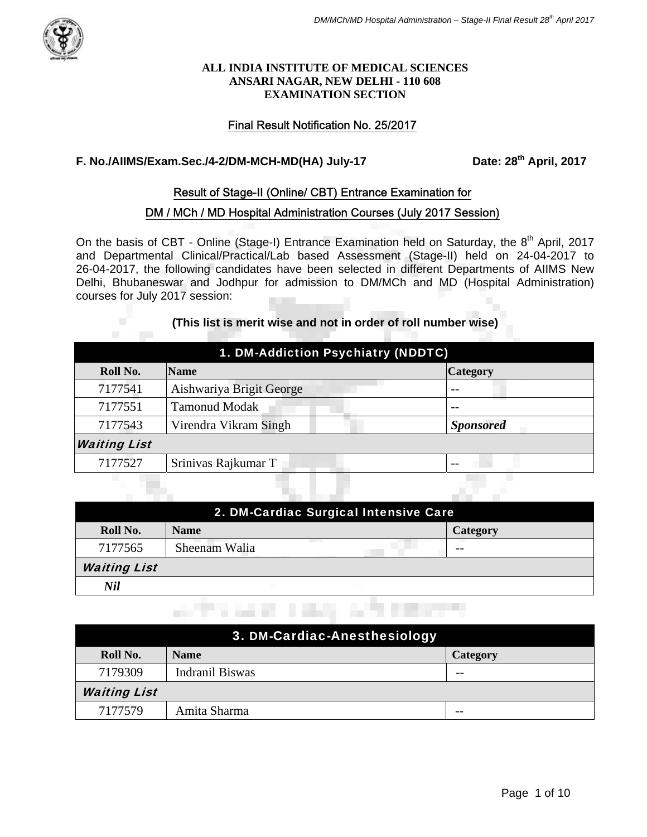

#### **ALL INDIA INSTITUTE OF MEDICAL SCIENCES ANSARI NAGAR, NEW DELHI - 110 608 EXAMINATION SECTION**

## Final Result Notification No. 25/2017

# F. No./AllMS/Exam.Sec./4-2/DM-MCH-MD(HA) July-17 Date: 28<sup>th</sup> April, 2017

#### Result of Stage-II (Online/ CBT) Entrance Examination for

#### DM / MCh / MD Hospital Administration Courses (July 2017 Session)

On the basis of CBT - Online (Stage-I) Entrance Examination held on Saturday, the 8<sup>th</sup> April, 2017 and Departmental Clinical/Practical/Lab based Assessment (Stage-II) held on 24-04-2017 to 26-04-2017, the following candidates have been selected in different Departments of AIIMS New Delhi, Bhubaneswar and Jodhpur for admission to DM/MCh and MD (Hospital Administration) courses for July 2017 session:

## **(This list is merit wise and not in order of roll number wise)**

П

| 1. DM-Addiction Psychiatry (NDDTC) |                          |                  |
|------------------------------------|--------------------------|------------------|
| Roll No.                           | <b>Name</b>              | <b>Category</b>  |
| 7177541                            | Aishwariya Brigit George | $ -$             |
| 7177551                            | <b>Tamonud Modak</b>     | $- -$            |
| 7177543                            | Virendra Vikram Singh    | <b>Sponsored</b> |
| <b>Waiting List</b>                |                          |                  |
| 7177527                            | Srinivas Rajkumar T      | $ -$             |
|                                    |                          |                  |
|                                    |                          |                  |

| 2. DM-Cardiac Surgical Intensive Care |               |                 |  |
|---------------------------------------|---------------|-----------------|--|
| Roll No.                              | <b>Name</b>   | <b>Category</b> |  |
| 7177565                               | Sheenam Walia | --              |  |
| <b>Waiting List</b>                   |               |                 |  |
| Nil                                   |               |                 |  |

andro sales in day in the expertise

| 3. DM-Cardiac-Anesthesiology |                 |                 |
|------------------------------|-----------------|-----------------|
| Roll No.                     | <b>Name</b>     | <b>Category</b> |
| 7179309                      | Indranil Biswas | $- -$           |
| <b>Waiting List</b>          |                 |                 |
| 7177579                      | Amita Sharma    | --              |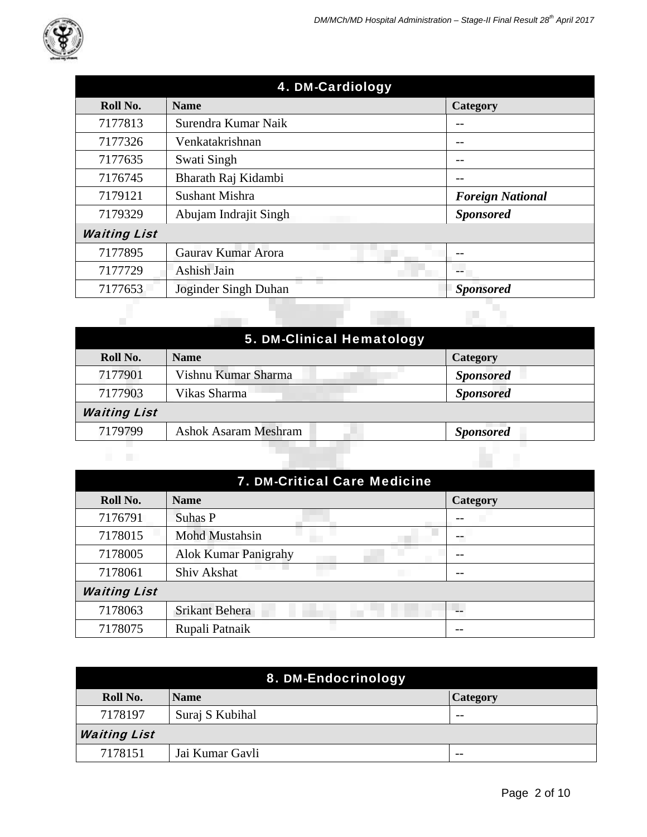

| 4. DM-Cardiology    |                             |                         |
|---------------------|-----------------------------|-------------------------|
| Roll No.            | <b>Name</b>                 | Category                |
| 7177813             | Surendra Kumar Naik         |                         |
| 7177326             | Venkatakrishnan             | --                      |
| 7177635             | Swati Singh                 |                         |
| 7176745             | Bharath Raj Kidambi         |                         |
| 7179121             | <b>Sushant Mishra</b>       | <b>Foreign National</b> |
| 7179329             | Abujam Indrajit Singh       | <b>Sponsored</b>        |
| <b>Waiting List</b> |                             |                         |
| 7177895             | Gauray Kumar Arora          |                         |
| 7177729             | Ashish Jain                 | --                      |
| 7177653             | a a<br>Joginder Singh Duhan | <b>Sponsored</b>        |
|                     |                             |                         |

|                     | 5. DM-Clinical Hematology   |                  |
|---------------------|-----------------------------|------------------|
| Roll No.            | <b>Name</b>                 | <b>Category</b>  |
| 7177901             | Vishnu Kumar Sharma         | <b>Sponsored</b> |
| 7177903             | Vikas Sharma                | <b>Sponsored</b> |
| <b>Waiting List</b> |                             |                  |
| 7179799             | <b>Ashok Asaram Meshram</b> | <b>Sponsored</b> |
| n a                 |                             |                  |

| 7. DM-Critical Care Medicine |                             |                 |
|------------------------------|-----------------------------|-----------------|
| Roll No.                     | <b>Name</b>                 | <b>Category</b> |
| 7176791                      | Suhas P                     |                 |
| 7178015                      | Mohd Mustahsin              |                 |
| 7178005                      | <b>Alok Kumar Panigrahy</b> |                 |
| 7178061                      | Shiv Akshat<br>a sa B       | --              |
| <b>Waiting List</b>          |                             |                 |
| 7178063                      | <b>Srikant Behera</b>       |                 |
| 7178075                      | Rupali Patnaik              |                 |

| 8. DM-Endocrinology |                 |          |
|---------------------|-----------------|----------|
| Roll No.            | <b>Name</b>     | Category |
| 7178197             | Suraj S Kubihal | --       |
| <b>Waiting List</b> |                 |          |
| 7178151             | Jai Kumar Gavli | $- -$    |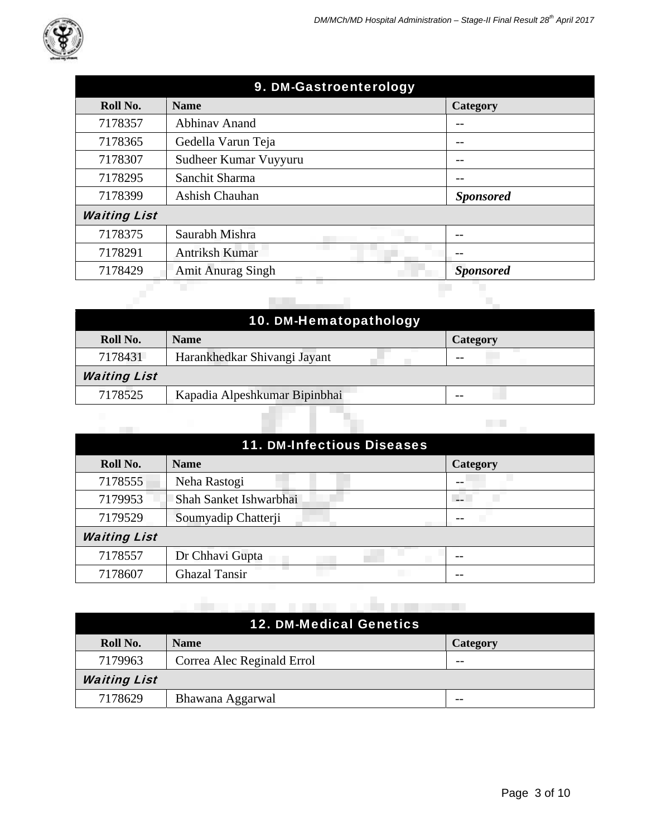| 9. DM-Gastroenterology |                          |                  |
|------------------------|--------------------------|------------------|
| Roll No.               | <b>Name</b>              | Category         |
| 7178357                | <b>Abhinav Anand</b>     |                  |
| 7178365                | Gedella Varun Teja       | --               |
| 7178307                | Sudheer Kumar Vuyyuru    | --               |
| 7178295                | Sanchit Sharma           |                  |
| 7178399                | Ashish Chauhan           | <b>Sponsored</b> |
| <b>Waiting List</b>    |                          |                  |
| 7178375                | Saurabh Mishra           |                  |
| 7178291                | Antriksh Kumar           |                  |
| 7178429                | <b>Amit Anurag Singh</b> | <b>Sponsored</b> |
|                        |                          |                  |
|                        |                          |                  |

|                     | 10. DM-Hematopathology        |                 |
|---------------------|-------------------------------|-----------------|
| Roll No.            | <b>Name</b>                   | <b>Category</b> |
| 7178431             | Harankhedkar Shivangi Jayant  |                 |
| <b>Waiting List</b> |                               |                 |
| 7178525             | Kapadia Alpeshkumar Bipinbhai |                 |

Y.

| <b>11. DM-Infectious Diseases</b> |                        |                 |  |
|-----------------------------------|------------------------|-----------------|--|
| Roll No.                          | <b>Name</b>            | <b>Category</b> |  |
| 7178555                           | Neha Rastogi           | --              |  |
| 7179953                           | Shah Sanket Ishwarbhai |                 |  |
| 7179529                           | Soumyadip Chatterji    |                 |  |
| <b>Waiting List</b>               |                        |                 |  |
| 7178557                           | Dr Chhavi Gupta        |                 |  |
| 7178607                           | <b>Ghazal Tansir</b>   |                 |  |

|                     | <b>12. DM-Medical Genetics</b> |                 |
|---------------------|--------------------------------|-----------------|
| Roll No.            | <b>Name</b>                    | <b>Category</b> |
| 7179963             | Correa Alec Reginald Errol     | --              |
| <b>Waiting List</b> |                                |                 |
| 7178629             | Bhawana Aggarwal               |                 |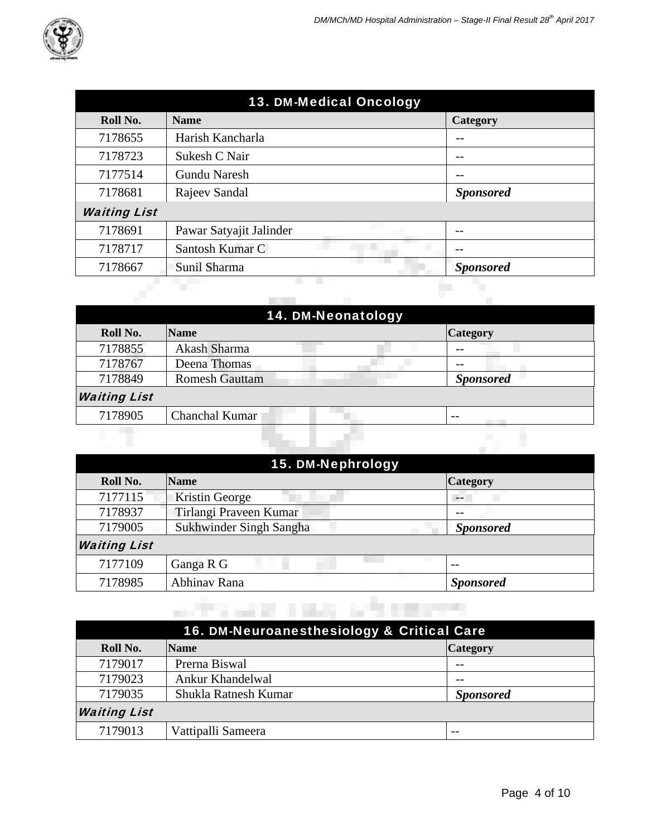| 13. DM-Medical Oncology |                         |                  |
|-------------------------|-------------------------|------------------|
| Roll No.                | <b>Name</b>             | <b>Category</b>  |
| 7178655                 | Harish Kancharla        |                  |
| 7178723                 | Sukesh C Nair           |                  |
| 7177514                 | <b>Gundu Naresh</b>     |                  |
| 7178681                 | Rajeev Sandal           | <b>Sponsored</b> |
| <b>Waiting List</b>     |                         |                  |
| 7178691                 | Pawar Satyajit Jalinder |                  |
| 7178717                 | Santosh Kumar C         |                  |
| 7178667                 | Sunil Sharma            | <b>Sponsored</b> |
|                         |                         |                  |

| 14. DM-Neonatology  |                       |                  |  |
|---------------------|-----------------------|------------------|--|
| Roll No.            | <b>Name</b>           | <b>Category</b>  |  |
| 7178855             | Akash Sharma          |                  |  |
| 7178767             | Deena Thomas          |                  |  |
| 7178849             | <b>Romesh Gauttam</b> | <b>Sponsored</b> |  |
| <b>Waiting List</b> |                       |                  |  |
| 7178905             | Chanchal Kumar        | $- -$            |  |
|                     |                       |                  |  |
|                     |                       |                  |  |

| 15. DM-Nephrology   |                         |                  |
|---------------------|-------------------------|------------------|
| Roll No.            | <b>Name</b>             | <b>Category</b>  |
| 7177115             | Kristin George          | $- -$            |
| 7178937             | Tirlangi Praveen Kumar  | --               |
| 7179005             | Sukhwinder Singh Sangha | <b>Sponsored</b> |
| <b>Waiting List</b> |                         |                  |
| 7177109             | Ganga R G               | $ -$             |
| 7178985             | Abhinav Rana            | <b>Sponsored</b> |

| 16. DM-Neuroanesthesiology & Critical Care |                      |                  |  |
|--------------------------------------------|----------------------|------------------|--|
| Roll No.                                   | <b>Name</b>          | <b>Category</b>  |  |
| 7179017                                    | Prerna Biswal        |                  |  |
| 7179023                                    | Ankur Khandelwal     |                  |  |
| 7179035                                    | Shukla Ratnesh Kumar | <b>Sponsored</b> |  |
| <b>Waiting List</b>                        |                      |                  |  |
| 7179013                                    | Vattipalli Sameera   |                  |  |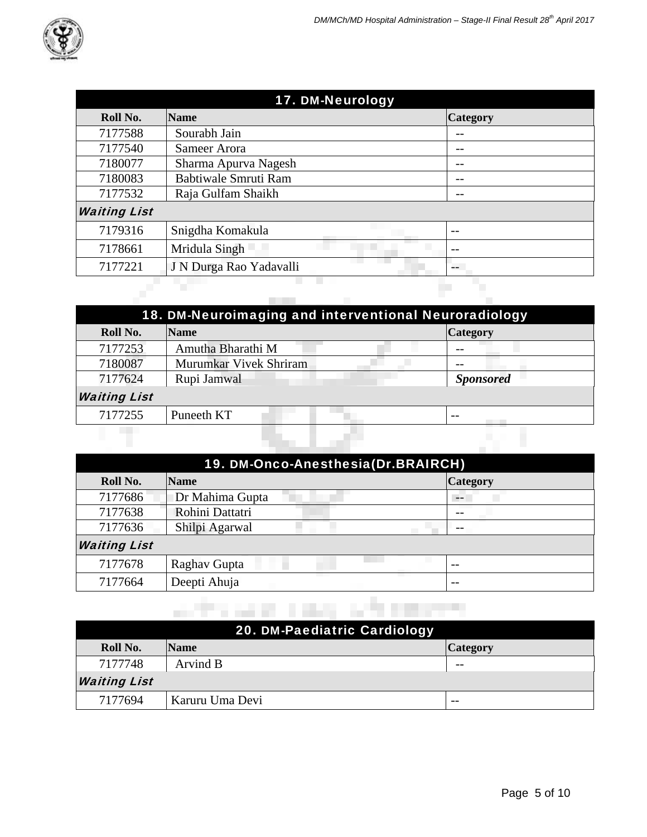| 17. DM-Neurology    |                         |                 |
|---------------------|-------------------------|-----------------|
| Roll No.            | <b>Name</b>             | <b>Category</b> |
| 7177588             | Sourabh Jain            |                 |
| 7177540             | Sameer Arora            |                 |
| 7180077             | Sharma Apurva Nagesh    |                 |
| 7180083             | Babtiwale Smruti Ram    | --              |
| 7177532             | Raja Gulfam Shaikh      | --              |
| <b>Waiting List</b> |                         |                 |
| 7179316             | Snigdha Komakula        | $- -$           |
| 7178661             | Mridula Singh           | $- -$           |
| 7177221             | J N Durga Rao Yadavalli | --              |
|                     |                         |                 |
|                     |                         |                 |

| 18. DM-Neuroimaging and interventional Neuroradiology |                        |                  |
|-------------------------------------------------------|------------------------|------------------|
| Roll No.                                              | <b>Name</b>            | <b>Category</b>  |
| 7177253                                               | Amutha Bharathi M      |                  |
| 7180087                                               | Murumkar Vivek Shriram |                  |
| 7177624                                               | Rupi Jamwal            | <b>Sponsored</b> |
| <b>Waiting List</b>                                   |                        |                  |
| 7177255                                               | Puneeth KT             | $- -$            |
|                                                       |                        |                  |

|                     | 19. DM-Onco-Anesthesia(Dr.BRAIRCH) |                 |  |
|---------------------|------------------------------------|-----------------|--|
| Roll No.            | <b>Name</b>                        | <b>Category</b> |  |
| 7177686             | Dr Mahima Gupta                    | $- -$           |  |
| 7177638             | Rohini Dattatri                    |                 |  |
| 7177636             | Shilpi Agarwal                     | --              |  |
| <b>Waiting List</b> |                                    |                 |  |
| 7177678             | Raghav Gupta                       | $ -$            |  |
| 7177664             | Deepti Ahuja                       | $- -$           |  |

|                     | 20. DM-Paediatric Cardiology |                 |
|---------------------|------------------------------|-----------------|
| Roll No.            | <b>Name</b>                  | <b>Category</b> |
| 7177748             | Arvind B                     | --              |
| <b>Waiting List</b> |                              |                 |
| 7177694             | Karuru Uma Devi              | $- -$           |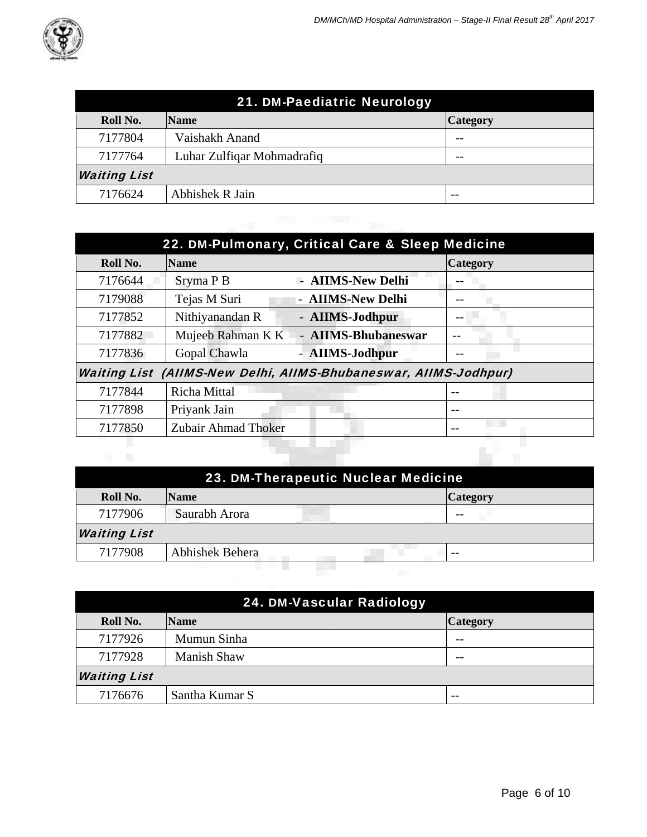

| 21. DM-Paediatric Neurology |                            |                 |
|-----------------------------|----------------------------|-----------------|
| Roll No.                    | <b>Name</b>                | <b>Category</b> |
| 7177804                     | Vaishakh Anand             | --              |
| 7177764                     | Luhar Zulfigar Mohmadrafiq | --              |
| <b>Waiting List</b>         |                            |                 |
| 7176624                     | Abhishek R Jain            | $- -$           |

|          | 22. DM-Pulmonary, Critical Care & Sleep Medicine                 |                 |  |
|----------|------------------------------------------------------------------|-----------------|--|
| Roll No. | <b>Name</b>                                                      | <b>Category</b> |  |
| 7176644  | - AIIMS-New Delhi<br>Sryma P B                                   |                 |  |
| 7179088  | Tejas M Suri<br>- AIIMS-New Delhi                                |                 |  |
| 7177852  | Nithiyanandan R<br>- AIIMS-Jodhpur                               |                 |  |
| 7177882  | - AIIMS-Bhubaneswar<br>Mujeeb Rahman K K                         |                 |  |
| 7177836  | Gopal Chawla<br>- AIIMS-Jodhpur                                  |                 |  |
|          | Waiting List (AIIMS-New Delhi, AIIMS-Bhubaneswar, AIIMS-Jodhpur) |                 |  |
| 7177844  | Richa Mittal                                                     |                 |  |
| 7177898  | Priyank Jain                                                     | --              |  |
| 7177850  | Zubair Ahmad Thoker                                              |                 |  |
|          |                                                                  |                 |  |

| 23. DM-Therapeutic Nuclear Medicine |                        |                 |  |
|-------------------------------------|------------------------|-----------------|--|
| Roll No.                            | <b>Name</b>            | <b>Category</b> |  |
| 7177906                             | Saurabh Arora          |                 |  |
| <b>Waiting List</b>                 |                        |                 |  |
| 7177908                             | <b>Abhishek Behera</b> | $- -$           |  |
|                                     |                        |                 |  |
|                                     |                        |                 |  |

| 24. DM-Vascular Radiology |                    |                 |
|---------------------------|--------------------|-----------------|
| Roll No.                  | <b>Name</b>        | <b>Category</b> |
| 7177926                   | Mumun Sinha        | --              |
| 7177928                   | <b>Manish Shaw</b> | $- -$           |
| <b>Waiting List</b>       |                    |                 |
| 7176676                   | Santha Kumar S     | $- -$           |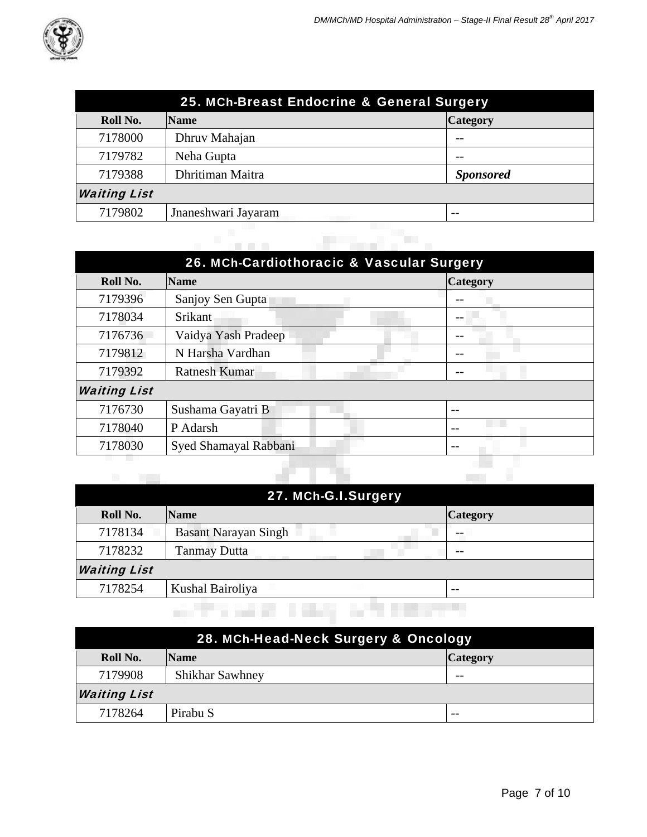

| 25. MCh-Breast Endocrine & General Surgery |                     |                  |
|--------------------------------------------|---------------------|------------------|
| Roll No.                                   | <b>Name</b>         | <b>Category</b>  |
| 7178000                                    | Dhruv Mahajan       |                  |
| 7179782                                    | Neha Gupta          |                  |
| 7179388                                    | Dhritiman Maitra    | <b>Sponsored</b> |
| <b>Waiting List</b>                        |                     |                  |
| 7179802                                    | Jnaneshwari Jayaram | --               |
|                                            |                     |                  |
|                                            |                     |                  |

| 26. MCh-Cardiothoracic & Vascular Surgery |                       |                 |  |
|-------------------------------------------|-----------------------|-----------------|--|
| Roll No.                                  | <b>Name</b>           | <b>Category</b> |  |
| 7179396                                   | Sanjoy Sen Gupta      |                 |  |
| 7178034                                   | Srikant               |                 |  |
| 7176736                                   | Vaidya Yash Pradeep   |                 |  |
| 7179812                                   | N Harsha Vardhan      |                 |  |
| 7179392                                   | <b>Ratnesh Kumar</b>  |                 |  |
| <b>Waiting List</b>                       |                       |                 |  |
| 7176730                                   | Sushama Gayatri B     | --              |  |
| 7178040                                   | P Adarsh              | --              |  |
| 7178030                                   | Syed Shamayal Rabbani | --              |  |
|                                           |                       |                 |  |
|                                           |                       |                 |  |

| <b>Tale</b>         |                             |                 |
|---------------------|-----------------------------|-----------------|
|                     | 27. MCh-G.I.Surgery         |                 |
| Roll No.            | <b>Name</b>                 | <b>Category</b> |
| 7178134             | <b>Basant Narayan Singh</b> |                 |
| 7178232             | <b>Tanmay Dutta</b>         | --              |
| <b>Waiting List</b> |                             |                 |
| 7178254             | Kushal Bairoliya            | $- -$           |
|                     |                             |                 |

| 28. MCh-Head-Neck Surgery & Oncology |                        |                 |  |
|--------------------------------------|------------------------|-----------------|--|
| Roll No.                             | <b>Name</b>            | <b>Category</b> |  |
| 7179908                              | <b>Shikhar Sawhney</b> | $- -$           |  |
| <b>Waiting List</b>                  |                        |                 |  |
| 7178264                              | Pirabu S               | $- -$           |  |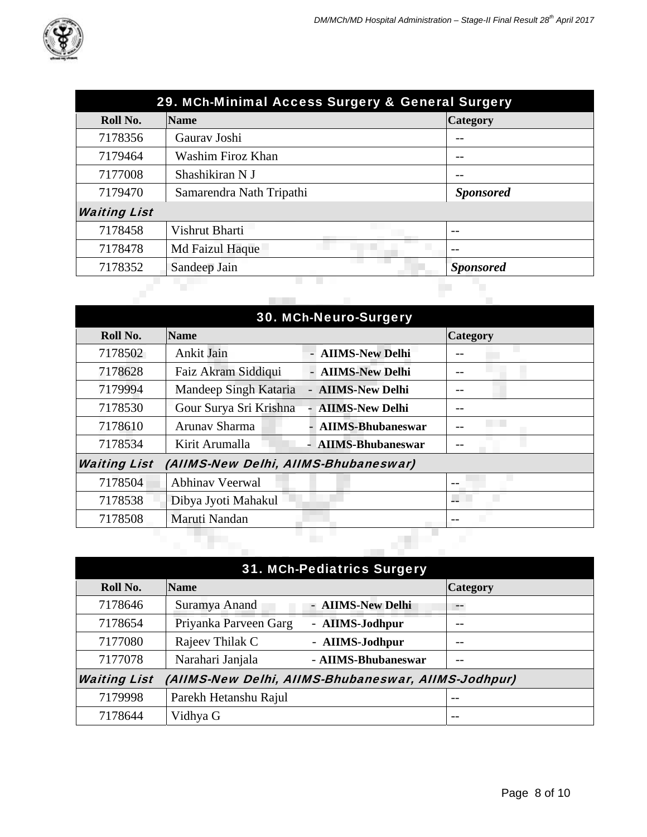

| 29. MCh-Minimal Access Surgery & General Surgery |                          |                  |
|--------------------------------------------------|--------------------------|------------------|
| Roll No.                                         | <b>Name</b>              | <b>Category</b>  |
| 7178356                                          | Gauray Joshi             |                  |
| 7179464                                          | Washim Firoz Khan        |                  |
| 7177008                                          | Shashikiran N J          |                  |
| 7179470                                          | Samarendra Nath Tripathi | <b>Sponsored</b> |
| <b>Waiting List</b>                              |                          |                  |
| 7178458                                          | Vishrut Bharti           | $- -$            |
| 7178478                                          | Md Faizul Haque          | $- -$            |
| 7178352                                          | Sandeep Jain             | <b>Sponsored</b> |

| <b>30. MCh-Neuro-Surgery</b> |                                      |                          |                 |
|------------------------------|--------------------------------------|--------------------------|-----------------|
| Roll No.                     | <b>Name</b>                          |                          | <b>Category</b> |
| 7178502                      | Ankit Jain                           | - AIIMS-New Delhi        |                 |
| 7178628                      | Faiz Akram Siddiqui                  | - AIIMS-New Delhi        |                 |
| 7179994                      | Mandeep Singh Kataria                | - AIIMS-New Delhi        |                 |
| 7178530                      | Gour Surya Sri Krishna               | <b>AIIMS-New Delhi</b>   |                 |
| 7178610                      | Arunav Sharma                        | - AIIMS-Bhubaneswar      |                 |
| 7178534                      | Kirit Arumalla                       | <b>AIIMS-Bhubaneswar</b> |                 |
| <b>Waiting List</b>          | (AIIMS-New Delhi, AIIMS-Bhubaneswar) |                          |                 |
| 7178504                      | <b>Abhinav Veerwal</b>               |                          |                 |
| 7178538                      | Dibya Jyoti Mahakul                  |                          |                 |
| 7178508                      | Maruti Nandan                        |                          |                 |
|                              |                                      |                          |                 |
|                              |                                      |                          |                 |

| <b>31. MCh-Pediatrics Surgery</b>                                          |                       |                     |                 |
|----------------------------------------------------------------------------|-----------------------|---------------------|-----------------|
| Roll No.                                                                   | <b>Name</b>           |                     | <b>Category</b> |
| 7178646                                                                    | Suramya Anand         | - AIIMS-New Delhi   | --              |
| 7178654                                                                    | Priyanka Parveen Garg | - AIIMS-Jodhpur     |                 |
| 7177080                                                                    | Rajeev Thilak C       | - AIIMS-Jodhpur     |                 |
| 7177078                                                                    | Narahari Janjala      | - AIIMS-Bhubaneswar | --              |
| <b>Waiting List</b><br>(AIIMS-New Delhi, AIIMS-Bhubaneswar, AIIMS-Jodhpur) |                       |                     |                 |
| 7179998                                                                    | Parekh Hetanshu Rajul |                     | $- -$           |
| 7178644                                                                    | Vidhya G              |                     |                 |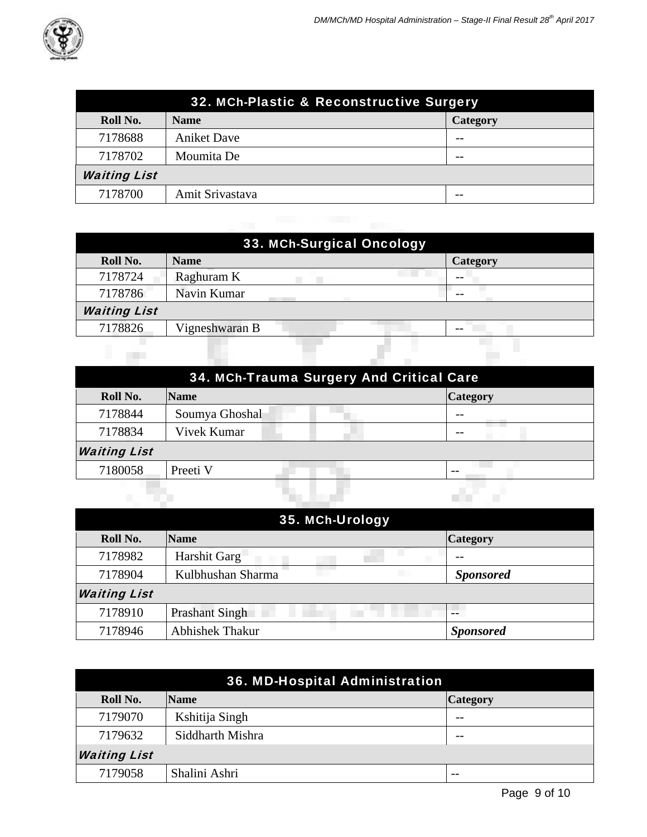

| 32. MCh-Plastic & Reconstructive Surgery |                    |                 |
|------------------------------------------|--------------------|-----------------|
| Roll No.                                 | <b>Name</b>        | <b>Category</b> |
| 7178688                                  | <b>Aniket Dave</b> | --              |
| 7178702                                  | Moumita De         | --              |
| <b>Waiting List</b>                      |                    |                 |
| 7178700                                  | Amit Srivastava    | --              |

| 33. MCh-Surgical Oncology |                |                 |  |
|---------------------------|----------------|-----------------|--|
| Roll No.                  | <b>Name</b>    | <b>Category</b> |  |
| 7178724                   | Raghuram K     | --              |  |
| 7178786                   | Navin Kumar    |                 |  |
| <b>Waiting List</b>       |                |                 |  |
| 7178826                   | Vigneshwaran B |                 |  |
|                           |                |                 |  |
|                           |                |                 |  |

| 34. MCh-Trauma Surgery And Critical Care |                |                                |  |
|------------------------------------------|----------------|--------------------------------|--|
| Roll No.                                 | <b>Name</b>    | <b>Category</b>                |  |
| 7178844                                  | Soumya Ghoshal | --<br><b>Contract Contract</b> |  |
| 7178834                                  | Vivek Kumar    |                                |  |
| <b>Waiting List</b>                      |                |                                |  |
| 7180058                                  | Preeti V       | $ -$                           |  |
|                                          |                |                                |  |

| 35. MCh-Urology     |                        |                  |  |
|---------------------|------------------------|------------------|--|
| Roll No.            | <b>Name</b>            | <b>Category</b>  |  |
| 7178982             | Harshit Garg           |                  |  |
| 7178904             | Kulbhushan Sharma      | <b>Sponsored</b> |  |
| <b>Waiting List</b> |                        |                  |  |
| 7178910             | <b>Prashant Singh</b>  |                  |  |
| 7178946             | <b>Abhishek Thakur</b> | <b>Sponsored</b> |  |

| 36. MD-Hospital Administration |                  |                 |  |
|--------------------------------|------------------|-----------------|--|
| Roll No.                       | <b>Name</b>      | <b>Category</b> |  |
| 7179070                        | Kshitija Singh   | --              |  |
| 7179632                        | Siddharth Mishra | $- -$           |  |
| <b>Waiting List</b>            |                  |                 |  |
| 7179058                        | Shalini Ashri    | $- -$           |  |